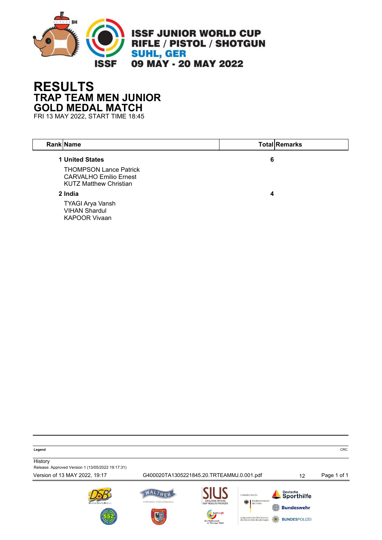

## **RESULTS TRAP TEAM MEN JUNIOR GOLD MEDAL MATCH**

FRI 13 MAY 2022, START TIME 18:45

| <b>Rank Name</b>                                                                                                   |   | <b>Total Remarks</b> |
|--------------------------------------------------------------------------------------------------------------------|---|----------------------|
| 1 United States<br><b>THOMPSON Lance Patrick</b><br><b>CARVALHO Emilio Ernest</b><br><b>KUTZ Matthew Christian</b> | 6 |                      |
| 2 India                                                                                                            | 4 |                      |
| <b>TYAGI Arya Vansh</b><br><b>VIHAN Shardul</b><br><b>KAPOOR Vivaan</b>                                            |   |                      |

**Legend** CRC

**History** Release: Approved Version 1 (13/05/2022 19:17:31)

Version of 13 MAY 2022, 19:17 G400020TA1305221845.20.TRTEAMMJ.0.001.pdf 12 Page 1 of 1WALTHER Deutsche<br>Sporthilfe Cofördert durch POWERED PERFORMANCE.  $\frac{1}{7}$  Bundeswehr aufgrund eines Besch<br>des Deutschen Bunde: **BUNDESPOLIZE**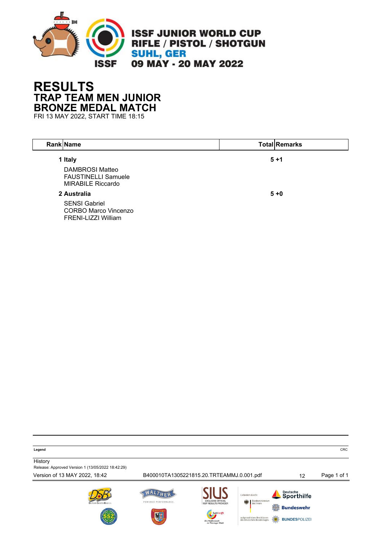

## **RESULTS TRAP TEAM MEN JUNIOR BRONZE MEDAL MATCH**

FRI 13 MAY 2022, START TIME 18:15

| <b>Rank Name</b>                                                                            | <b>Total Remarks</b> |
|---------------------------------------------------------------------------------------------|----------------------|
| 1 Italy<br><b>DAMBROSI Matteo</b><br><b>FAUSTINELLI Samuele</b><br><b>MIRABILE Riccardo</b> | $5 + 1$              |
| 2 Australia                                                                                 | $5 + 0$              |
| <b>SENSI Gabriel</b><br><b>CORBO Marco Vincenzo</b><br>FRENI-LIZZI William                  |                      |

**Legend** CRC

**History** 

Release: Approved Version 1 (13/05/2022 18:42:29)

Version of 13 MAY 2022, 18:42 B400010TA1305221815.20.TRTEAMMJ.0.001.pdf 12 Page 1 of 1







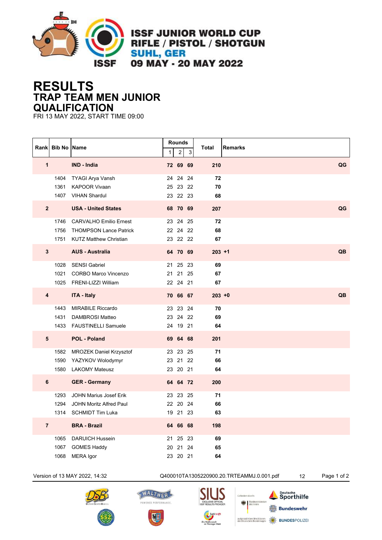

**ISSF JUNIOR WORLD CUP** RIFLE / PISTOL / SHOTGUN **SUHL, GER** 09 MAY - 20 MAY 2022

## **RESULTS TRAP TEAM MEN JUNIOR QUALIFICATION**

FRI 13 MAY 2022, START TIME 09:00

|                         | Rank Bib No Name |                                | 1 | Rounds<br>$\overline{2}$ | 3  | Total     | Remarks |
|-------------------------|------------------|--------------------------------|---|--------------------------|----|-----------|---------|
| $\overline{1}$          |                  | <b>IND - India</b>             |   | 72 69 69                 |    | 210       | QG      |
|                         | 1404             | TYAGI Arya Vansh               |   | 24 24                    | 24 | 72        |         |
|                         | 1361             | <b>KAPOOR Vivaan</b>           |   | 25 23 22                 |    | 70        |         |
|                         |                  | 1407 VIHAN Shardul             |   | 23 22 23                 |    | 68        |         |
| 2 <sup>2</sup>          |                  | <b>USA - United States</b>     |   | 68 70 69                 |    | 207       | QG      |
|                         |                  | 1746 CARVALHO Emilio Ernest    |   | 23 24                    | 25 | 72        |         |
|                         |                  | 1756 THOMPSON Lance Patrick    |   | 22 24 22                 |    | 68        |         |
|                         |                  | 1751 KUTZ Matthew Christian    |   | 23 22 22                 |    | 67        |         |
| $\mathbf{3}$            |                  | <b>AUS - Australia</b>         |   | 64 70 69                 |    | $203 + 1$ | QB      |
|                         |                  | 1028 SENSI Gabriel             |   | 21 25 23                 |    | 69        |         |
|                         | 1021             | <b>CORBO Marco Vincenzo</b>    |   | 21 21                    | 25 | 67        |         |
|                         |                  | 1025 FRENI-LIZZI William       |   | 22 24 21                 |    | 67        |         |
| $\overline{\mathbf{4}}$ |                  | <b>ITA - Italy</b>             |   | 70 66 67                 |    | $203 + 0$ | QB      |
|                         |                  | 1443 MIRABILE Riccardo         |   | 23 23 24                 |    | 70        |         |
|                         |                  | 1431 DAMBROSI Matteo           |   | 23 24 22                 |    | 69        |         |
|                         |                  | 1433 FAUSTINELLI Samuele       |   | 24 19 21                 |    | 64        |         |
| 5                       |                  | <b>POL - Poland</b>            |   | 69 64 68                 |    | 201       |         |
|                         |                  | 1582 MROZEK Daniel Krzysztof   |   | 23 23 25                 |    | 71        |         |
|                         |                  | 1590 YAZYKOV Wolodymyr         |   | 23 21                    | 22 | 66        |         |
|                         | 1580             | <b>LAKOMY Mateusz</b>          |   | 23 20 21                 |    | 64        |         |
| 6                       |                  | <b>GER - Germany</b>           |   | 64 64 72                 |    | 200       |         |
|                         |                  | 1293 JOHN Marius Josef Erik    |   | 23 23 25                 |    | 71        |         |
|                         | 1294             | <b>JOHN Moritz Alfred Paul</b> |   | 22 20 24                 |    | 66        |         |
|                         |                  | 1314 SCHMIDT Tim Luka          |   | 19 21 23                 |    | 63        |         |
| $\overline{7}$          |                  | <b>BRA - Brazil</b>            |   | 64 66 68                 |    | 198       |         |
|                         |                  | 1065 DARUICH Hussein           |   | 21 25 23                 |    | 69        |         |
|                         | 1067             | <b>GOMES Haddy</b>             |   | 20 21                    | 24 | 65        |         |
|                         | 1068             | <b>MERA</b> Igor               |   | 23 20 21                 |    | 64        |         |







POWERED PERFORMANCE.